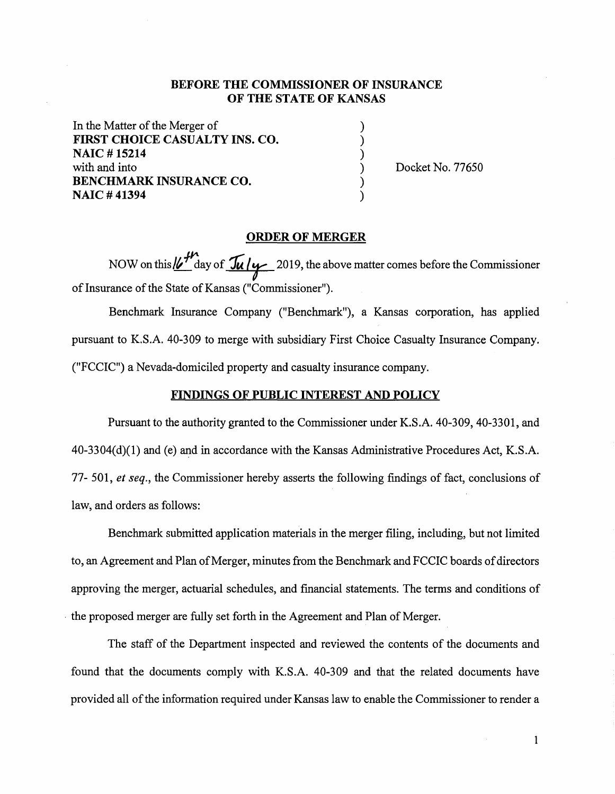## **BEFORE THE COMMISSIONER OF INSURANCE OF THE STATE OF KANSAS**

) ) ) ) ) )

In the Matter of the Merger of **FIRST CHOICE CASUALTY INS. CO. NAIC** # **15214**  with and into **BENCHMARK INSURANCE CO. NAIC #41394** 

Docket No. 77650

## **ORDER OF MERGER**

NOW on this  $\frac{V}{\sqrt{n}}$  day of  $\frac{\sqrt{n}}{2}$  2019, the above matter comes before the Commissioner of Insurance of the State of Kansas ("Commissioner").

Benchmark Insurance Company ("Benchmark"), a Kansas corporation, has applied pursuant to KS.A. 40-309 to merge with subsidiary First Choice Casualty Insurance Company. ("FCCIC") a Nevada-domiciled property and casualty insurance company.

## **FINDINGS OF PUBLIC INTEREST AND POLICY**

Pursuant to the authority granted to the Commissioner under K.S.A. 40-309, 40-3301, and  $40-3304(d)(1)$  and (e) and in accordance with the Kansas Administrative Procedures Act, K.S.A. 77- 501, *et seq.,* the Commissioner hereby asserts the following findings of fact, conclusions of law, and orders as follows:

Benchmark submitted application materials in the merger filing, including, but not limited to, an Agreement and Plan of Merger, minutes from the Benchmark and FCC IC boards of directors approving the merger, actuarial schedules, and financial statements. The terms and conditions of • the proposed merger are fully set forth in the Agreement and Plan of Merger.

The staff of the Department inspected and reviewed the contents of the documents and found that the documents comply with KS.A. 40-309 and that the related documents have provided all of the information required under Kansas law to enable the Commissioner to render a

 $\mathbf{1}$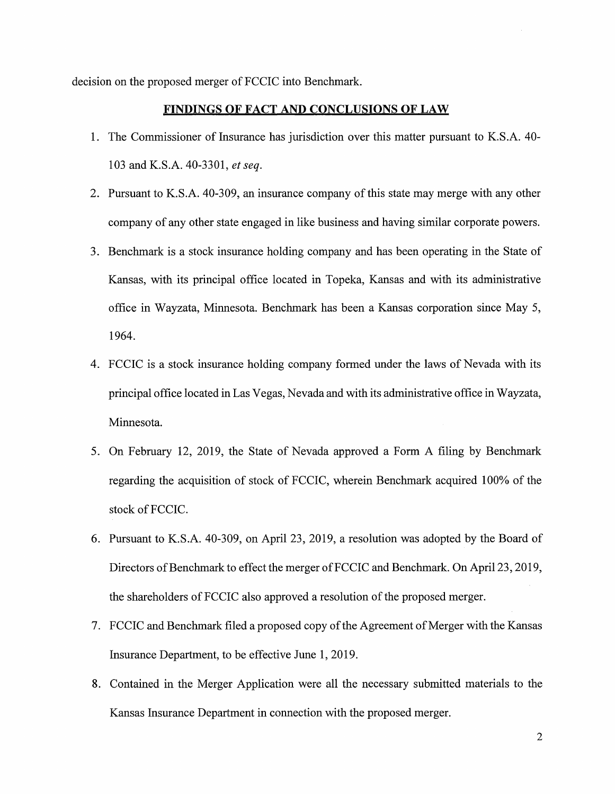decision on the proposed merger of FCCIC into Benchmark.

#### **FINDINGS OF FACT AND CONCLUSIONS OF LAW**

- 1. The Commissioner of Insurance has jurisdiction over this matter pursuant to K.S.A. 40- 103 and K.S.A. 40-3301, *et seq.*
- 2. Pursuant to K.S.A. 40-309, an insurance company of this state may merge with any other company of any other state engaged in like business and having similar corporate powers.
- 3. Benchmark is a stock insurance holding company and has been operating in the State of Kansas, with its principal office located in Topeka, Kansas and with its administrative office in Wayzata, Minnesota. Benchmark has been a Kansas corporation since May 5, 1964.
- 4. FCCIC is a stock insurance holding company formed under the laws of Nevada with its principal office located in Las Vegas, Nevada and with its administrative office in Wayzata, Minnesota.
- 5. On February 12, 2019, the State of Nevada approved a Form A filing by Benchmark regarding the acquisition of stock of FCCIC, wherein Benchmark acquired 100% of the stock of FCCIC.
- 6. Pursuant to K.S.A. 40-309, on April 23, 2019, a resolution was adopted by the Board of Directors of Benchmark to effect the merger of FCCIC and Benchmark. On April 23, 2019, the shareholders of FCCIC also approved a resolution of the proposed merger.
- 7. FCCIC and Benchmark filed a proposed copy of the Agreement of Merger with the Kansas Insurance Department, to be effective June 1, 2019.
- 8. Contained in the Merger Application were all the necessary submitted materials to the Kansas Insurance Department in connection with the proposed merger.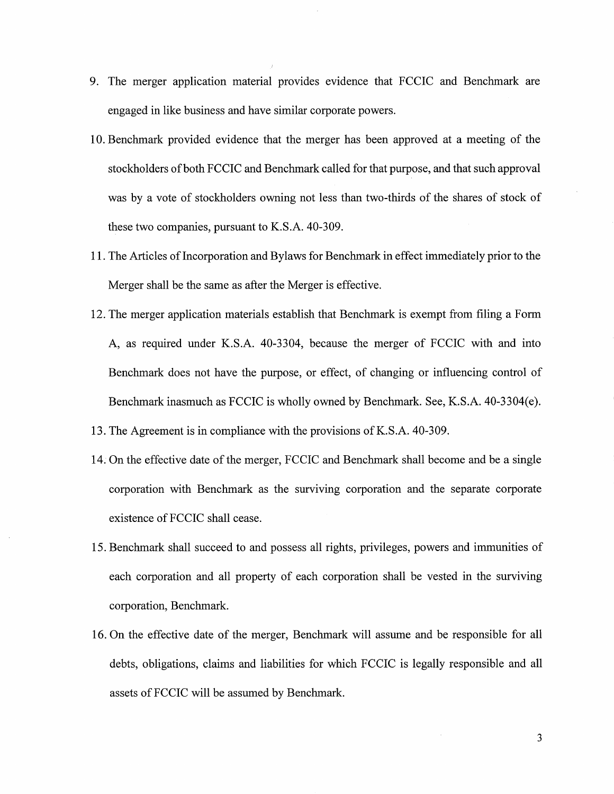- 9. The merger application material provides evidence that FCCIC and Benchmark are engaged in like business and have similar corporate powers.
- 10. Benchmark provided evidence that the merger has been approved at a meeting of the stockholders of both FCCIC and Benchmark called for that purpose, and that such approval was by a vote of stockholders owning not less than two-thirds of the shares of stock of these two companies, pursuant to K.S.A. 40-309.
- 11. The Articles of Incorporation and Bylaws for Benchmark in effect immediately prior to the Merger shall be the same as after the Merger is effective.
- 12. The merger application materials establish that Benchmark is exempt from filing a Form A, as required under K.S.A. 40-3304, because the merger of FCCIC with and into Benchmark does not have the purpose, or effect, of changing or influencing control of Benchmark inasmuch as FCCIC is wholly owned by Benchmark. See, K.S.A. 40-3304(e).
- 13. The Agreement is in compliance with the provisions of K.S.A. 40-309.
- 14. On the effective date of the merger, FCCIC and Benchmark shall become and be a single corporation with Benchmark as the surviving corporation and the separate corporate existence of FCCIC shall cease.
- 15. Benchmark shall succeed to and possess all rights, privileges, powers and immunities of each corporation and all property of each corporation shall be vested in the surviving corporation, Benchmark.
- 16. On the effective date of the merger, Benchmark will assume and be responsible for all debts, obligations, claims and liabilities for which FCCIC is legally responsible and all assets of FCCIC will be assumed by Benchmark.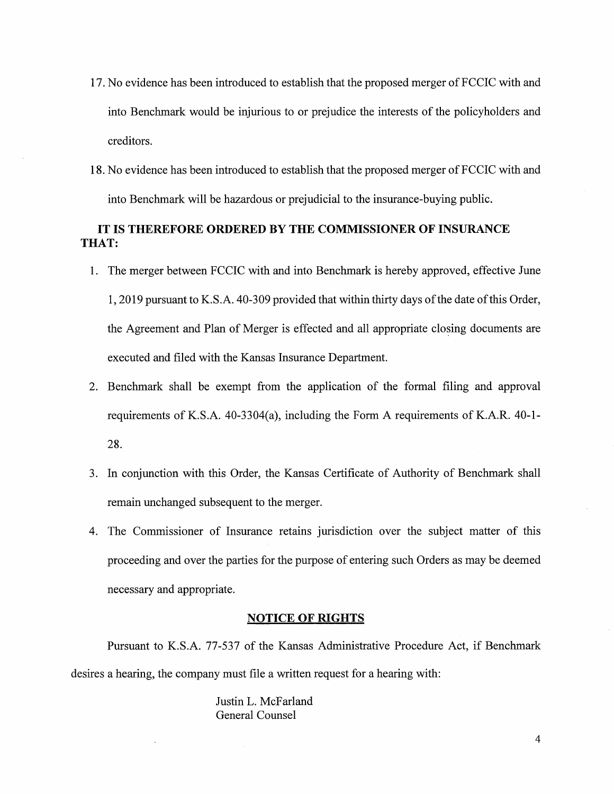- 17. No evidence has been introduced to establish that the proposed merger of FCCIC with and into Benchmark would be injurious to or prejudice the interests of the policyholders and creditors.
- 18. No evidence has been introduced to establish that the proposed merger of FCCIC with and into Benchmark will be hazardous or prejudicial to the insurance-buying public.

## **IT IS THEREFORE ORDERED BY THE COMMISSIONER OF INSURANCE THAT:**

- 1. The merger between FCCIC with and into Benchmark is hereby approved, effective June 1, 2019 pursuant to K.S.A. 40-309 provided that within thirty days of the date of this Order, the Agreement and Plan of Merger is effected and all appropriate closing documents are executed and filed with the Kansas Insurance Department.
- 2. Benchmark shall be exempt from the application of the formal filing and approval requirements of K.S.A. 40-3304(a), including the Form A requirements of K.A.R. 40-1- 28.
- 3. In conjunction with this Order, the Kansas Certificate of Authority of Benchmark shall remain unchanged subsequent to the merger.
- 4. The Commissioner of Insurance retains jurisdiction over the subject matter of this proceeding and over the parties for the purpose of entering such Orders as may be deemed necessary and appropriate.

## **NOTICE OF RIGHTS**

Pursuant to K.S.A. 77-537 of the Kansas Administrative Procedure Act, if Benchmark desires a hearing, the company must file a written request for a hearing with:

> Justin L. McFarland General Counsel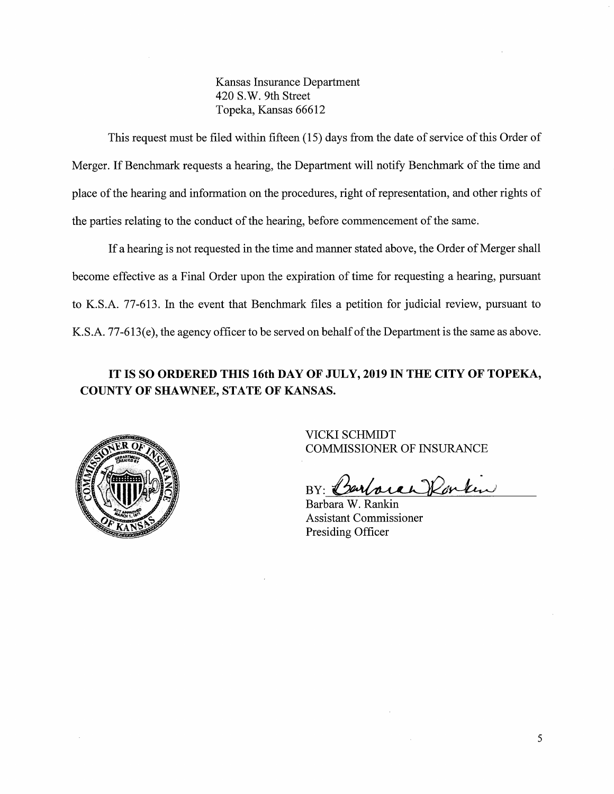Kansas Insurance Department 420 S.W. 9th Street Topeka, Kansas 66612

This request must be filed within fifteen (15) days from the date of service of this Order of Merger. If Benchmark requests a hearing, the Department will notify Benchmark of the time and place of the hearing and information on the procedures, right of representation, and other rights of the parties relating to the conduct of the hearing, before commencement of the same.

If a hearing is not requested in the time and manner stated above, the Order of Merger shall become effective as a Final Order upon the expiration of time for requesting a hearing, pursuant to K.S.A. 77-613. In the event that Benchmark files a petition for judicial review, pursuant to K.S.A. 77-613(e), the agency officer to be served on behalf of the Department is the same as above.

# **IT IS SO ORDERED THIS 16th DAY OF JULY, 2019 IN THE CITY OF TOPEKA, COUNTY OF SHAWNEE, STATE OF KANSAS.**



VICKI SCHMIDT COMMISSIONER OF INSURANCE

BY: arboran Ronken

Barbara W. Rankin Assistant Commissioner Presiding Officer